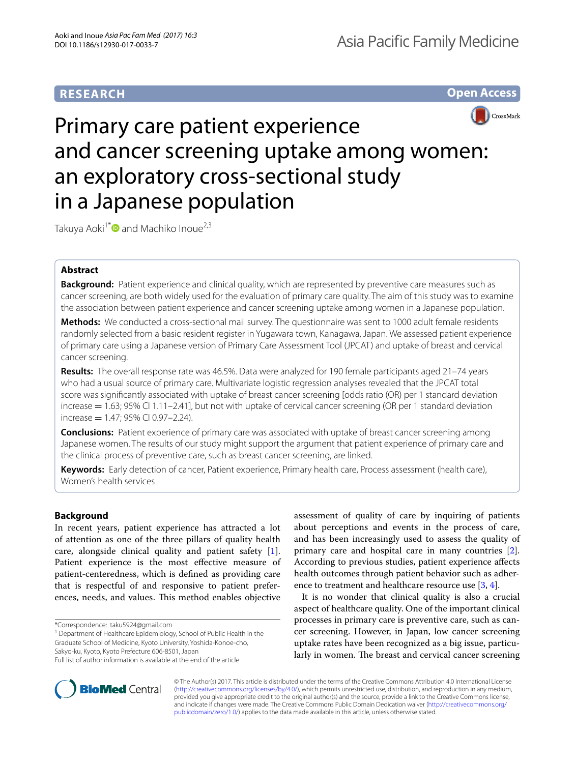# **RESEARCH**

**Open Access**



# Primary care patient experience and cancer screening uptake among women: an exploratory cross-sectional study in a Japanese population

Takuya Aoki<sup>1\*</sup> and Machiko Inoue<sup>2,3</sup>

# **Abstract**

**Background:** Patient experience and clinical quality, which are represented by preventive care measures such as cancer screening, are both widely used for the evaluation of primary care quality. The aim of this study was to examine the association between patient experience and cancer screening uptake among women in a Japanese population.

**Methods:** We conducted a cross-sectional mail survey. The questionnaire was sent to 1000 adult female residents randomly selected from a basic resident register in Yugawara town, Kanagawa, Japan. We assessed patient experience of primary care using a Japanese version of Primary Care Assessment Tool (JPCAT) and uptake of breast and cervical cancer screening.

**Results:** The overall response rate was 46.5%. Data were analyzed for 190 female participants aged 21–74 years who had a usual source of primary care. Multivariate logistic regression analyses revealed that the JPCAT total score was significantly associated with uptake of breast cancer screening [odds ratio (OR) per 1 standard deviation  $i$  increase  $= 1.63$ ; 95% CI 1.11–2.41], but not with uptake of cervical cancer screening (OR per 1 standard deviation  $increase = 1.47; 95% CI 0.97 - 2.24$ .

**Conclusions:** Patient experience of primary care was associated with uptake of breast cancer screening among Japanese women. The results of our study might support the argument that patient experience of primary care and the clinical process of preventive care, such as breast cancer screening, are linked.

**Keywords:** Early detection of cancer, Patient experience, Primary health care, Process assessment (health care), Women's health services

# **Background**

In recent years, patient experience has attracted a lot of attention as one of the three pillars of quality health care, alongside clinical quality and patient safety [\[1](#page-5-0)]. Patient experience is the most effective measure of patient-centeredness, which is defined as providing care that is respectful of and responsive to patient preferences, needs, and values. This method enables objective

Graduate School of Medicine, Kyoto University, Yoshida-Konoe-cho, Sakyo-ku, Kyoto, Kyoto Prefecture 606-8501, Japan

assessment of quality of care by inquiring of patients about perceptions and events in the process of care, and has been increasingly used to assess the quality of primary care and hospital care in many countries [\[2](#page-5-1)]. According to previous studies, patient experience affects health outcomes through patient behavior such as adherence to treatment and healthcare resource use [\[3](#page-5-2), [4](#page-5-3)].

It is no wonder that clinical quality is also a crucial aspect of healthcare quality. One of the important clinical processes in primary care is preventive care, such as cancer screening. However, in Japan, low cancer screening uptake rates have been recognized as a big issue, particularly in women. The breast and cervical cancer screening



© The Author(s) 2017. This article is distributed under the terms of the Creative Commons Attribution 4.0 International License [\(http://creativecommons.org/licenses/by/4.0/\)](http://creativecommons.org/licenses/by/4.0/), which permits unrestricted use, distribution, and reproduction in any medium, provided you give appropriate credit to the original author(s) and the source, provide a link to the Creative Commons license, and indicate if changes were made. The Creative Commons Public Domain Dedication waiver ([http://creativecommons.org/](http://creativecommons.org/publicdomain/zero/1.0/) [publicdomain/zero/1.0/](http://creativecommons.org/publicdomain/zero/1.0/)) applies to the data made available in this article, unless otherwise stated.

<sup>\*</sup>Correspondence: taku5924@gmail.com

<sup>&</sup>lt;sup>1</sup> Department of Healthcare Epidemiology, School of Public Health in the

Full list of author information is available at the end of the article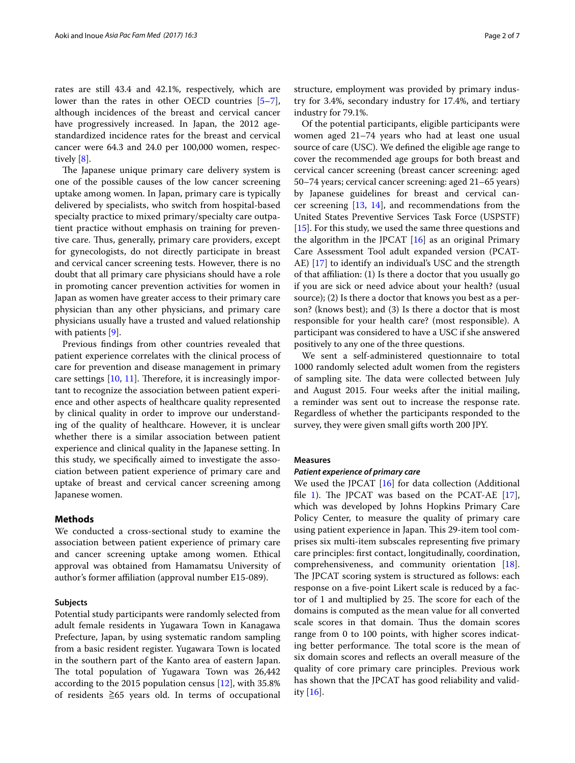rates are still 43.4 and 42.1%, respectively, which are lower than the rates in other OECD countries [\[5](#page-5-4)[–7](#page-5-5)], although incidences of the breast and cervical cancer have progressively increased. In Japan, the 2012 agestandardized incidence rates for the breast and cervical cancer were 64.3 and 24.0 per 100,000 women, respectively [\[8\]](#page-5-6).

The Japanese unique primary care delivery system is one of the possible causes of the low cancer screening uptake among women. In Japan, primary care is typically delivered by specialists, who switch from hospital-based specialty practice to mixed primary/specialty care outpatient practice without emphasis on training for preventive care. Thus, generally, primary care providers, except for gynecologists, do not directly participate in breast and cervical cancer screening tests. However, there is no doubt that all primary care physicians should have a role in promoting cancer prevention activities for women in Japan as women have greater access to their primary care physician than any other physicians, and primary care physicians usually have a trusted and valued relationship with patients [\[9](#page-5-7)].

Previous findings from other countries revealed that patient experience correlates with the clinical process of care for prevention and disease management in primary care settings [\[10](#page-5-8), [11](#page-5-9)]. Therefore, it is increasingly important to recognize the association between patient experience and other aspects of healthcare quality represented by clinical quality in order to improve our understanding of the quality of healthcare. However, it is unclear whether there is a similar association between patient experience and clinical quality in the Japanese setting. In this study, we specifically aimed to investigate the association between patient experience of primary care and uptake of breast and cervical cancer screening among Japanese women.

# **Methods**

We conducted a cross-sectional study to examine the association between patient experience of primary care and cancer screening uptake among women. Ethical approval was obtained from Hamamatsu University of author's former affiliation (approval number E15-089).

# **Subjects**

Potential study participants were randomly selected from adult female residents in Yugawara Town in Kanagawa Prefecture, Japan, by using systematic random sampling from a basic resident register. Yugawara Town is located in the southern part of the Kanto area of eastern Japan. The total population of Yugawara Town was 26,442 according to the 2015 population census [\[12\]](#page-5-10), with 35.8% of residents ≧65 years old. In terms of occupational structure, employment was provided by primary industry for 3.4%, secondary industry for 17.4%, and tertiary industry for 79.1%.

Of the potential participants, eligible participants were women aged 21–74 years who had at least one usual source of care (USC). We defined the eligible age range to cover the recommended age groups for both breast and cervical cancer screening (breast cancer screening: aged 50–74 years; cervical cancer screening: aged 21–65 years) by Japanese guidelines for breast and cervical cancer screening [\[13,](#page-5-11) [14](#page-5-12)], and recommendations from the United States Preventive Services Task Force (USPSTF) [[15\]](#page-5-13). For this study, we used the same three questions and the algorithm in the JPCAT [\[16](#page-5-14)] as an original Primary Care Assessment Tool adult expanded version (PCAT-AE) [\[17](#page-5-15)] to identify an individual's USC and the strength of that affiliation: (1) Is there a doctor that you usually go if you are sick or need advice about your health? (usual source); (2) Is there a doctor that knows you best as a person? (knows best); and (3) Is there a doctor that is most responsible for your health care? (most responsible). A participant was considered to have a USC if she answered positively to any one of the three questions.

We sent a self-administered questionnaire to total 1000 randomly selected adult women from the registers of sampling site. The data were collected between July and August 2015. Four weeks after the initial mailing, a reminder was sent out to increase the response rate. Regardless of whether the participants responded to the survey, they were given small gifts worth 200 JPY.

#### **Measures**

# *Patient experience of primary care*

We used the JPCAT [[16\]](#page-5-14) for data collection (Additional file [1](#page-5-16)). The JPCAT was based on the PCAT-AE [\[17](#page-5-15)], which was developed by Johns Hopkins Primary Care Policy Center, to measure the quality of primary care using patient experience in Japan. This 29-item tool comprises six multi-item subscales representing five primary care principles: first contact, longitudinally, coordination, comprehensiveness, and community orientation [\[18](#page-5-17)]. The JPCAT scoring system is structured as follows: each response on a five-point Likert scale is reduced by a factor of 1 and multiplied by 25. The score for each of the domains is computed as the mean value for all converted scale scores in that domain. Thus the domain scores range from 0 to 100 points, with higher scores indicating better performance. The total score is the mean of six domain scores and reflects an overall measure of the quality of core primary care principles. Previous work has shown that the JPCAT has good reliability and validity [[16](#page-5-14)].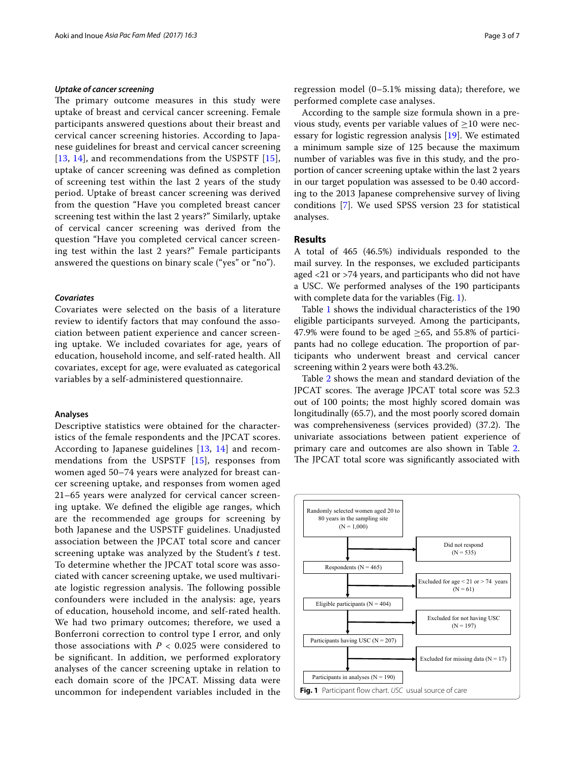# *Uptake of cancer screening*

The primary outcome measures in this study were uptake of breast and cervical cancer screening. Female participants answered questions about their breast and cervical cancer screening histories. According to Japanese guidelines for breast and cervical cancer screening [[13](#page-5-11), [14\]](#page-5-12), and recommendations from the USPSTF [[15](#page-5-13)], uptake of cancer screening was defined as completion of screening test within the last 2 years of the study period. Uptake of breast cancer screening was derived from the question "Have you completed breast cancer screening test within the last 2 years?" Similarly, uptake of cervical cancer screening was derived from the question "Have you completed cervical cancer screening test within the last 2 years?" Female participants answered the questions on binary scale ("yes" or "no").

# *Covariates*

Covariates were selected on the basis of a literature review to identify factors that may confound the association between patient experience and cancer screening uptake. We included covariates for age, years of education, household income, and self-rated health. All covariates, except for age, were evaluated as categorical variables by a self-administered questionnaire.

# **Analyses**

Descriptive statistics were obtained for the characteristics of the female respondents and the JPCAT scores. According to Japanese guidelines [[13](#page-5-11), [14\]](#page-5-12) and recommendations from the USPSTF [[15\]](#page-5-13), responses from women aged 50–74 years were analyzed for breast cancer screening uptake, and responses from women aged 21–65 years were analyzed for cervical cancer screening uptake. We defined the eligible age ranges, which are the recommended age groups for screening by both Japanese and the USPSTF guidelines. Unadjusted association between the JPCAT total score and cancer screening uptake was analyzed by the Student's *t* test. To determine whether the JPCAT total score was associated with cancer screening uptake, we used multivariate logistic regression analysis. The following possible confounders were included in the analysis: age, years of education, household income, and self-rated health. We had two primary outcomes; therefore, we used a Bonferroni correction to control type I error, and only those associations with  $P < 0.025$  were considered to be significant. In addition, we performed exploratory analyses of the cancer screening uptake in relation to each domain score of the JPCAT. Missing data were uncommon for independent variables included in the regression model (0–5.1% missing data); therefore, we performed complete case analyses.

According to the sample size formula shown in a previous study, events per variable values of  $\geq$ 10 were necessary for logistic regression analysis [[19](#page-5-18)]. We estimated a minimum sample size of 125 because the maximum number of variables was five in this study, and the proportion of cancer screening uptake within the last 2 years in our target population was assessed to be 0.40 according to the 2013 Japanese comprehensive survey of living conditions [\[7](#page-5-5)]. We used SPSS version 23 for statistical analyses.

# **Results**

A total of 465 (46.5%) individuals responded to the mail survey. In the responses, we excluded participants aged <21 or >74 years, and participants who did not have a USC. We performed analyses of the 190 participants with complete data for the variables (Fig. [1](#page-2-0)).

Table [1](#page-3-0) shows the individual characteristics of the 190 eligible participants surveyed. Among the participants, 47.9% were found to be aged  $>65$ , and 55.8% of participants had no college education. The proportion of participants who underwent breast and cervical cancer screening within 2 years were both 43.2%.

Table [2](#page-3-1) shows the mean and standard deviation of the JPCAT scores. The average JPCAT total score was 52.3 out of 100 points; the most highly scored domain was longitudinally (65.7), and the most poorly scored domain was comprehensiveness (services provided) (37.2). The univariate associations between patient experience of primary care and outcomes are also shown in Table [2](#page-3-1). The JPCAT total score was significantly associated with

<span id="page-2-0"></span>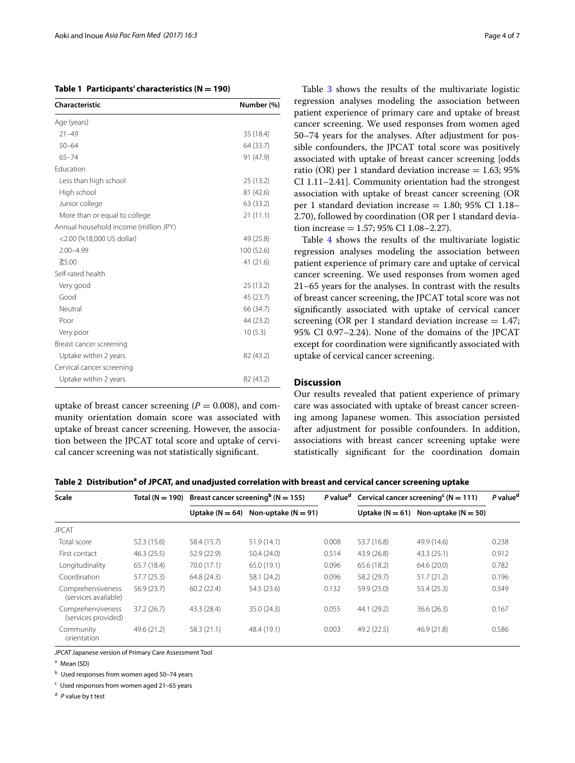<span id="page-3-0"></span>

|  |  | Table 1 Participants' characteristics ( $N = 190$ ) |  |
|--|--|-----------------------------------------------------|--|
|--|--|-----------------------------------------------------|--|

| Characteristic                        | Number (%) |
|---------------------------------------|------------|
| Age (years)                           |            |
| $21 - 49$                             | 35 (18.4)  |
| $50 - 64$                             | 64 (33.7)  |
| $65 - 74$                             | 91 (47.9)  |
| Education                             |            |
| Less than high school                 | 25 (13.2)  |
| High school                           | 81 (42.6)  |
| Junior college                        | 63 (33.2)  |
| More than or equal to college         | 21(11.1)   |
| Annual household income (million JPY) |            |
| <2.00 (=18,000 US dollar)             | 49 (25.8)  |
| $2.00 - 4.99$                         | 100 (52.6) |
| $\geq 5.00$                           | 41 (21.6)  |
| Self-rated health                     |            |
| Very good                             | 25 (13.2)  |
| Good                                  | 45 (23.7)  |
| Neutral                               | 66 (34.7)  |
| Poor                                  | 44 (23.2)  |
| Very poor                             | 10(5.3)    |
| Breast cancer screening               |            |
| Uptake within 2 years                 | 82 (43.2)  |
| Cervical cancer screening             |            |
| Uptake within 2 years                 | 82 (43.2)  |

uptake of breast cancer screening  $(P = 0.008)$ , and community orientation domain score was associated with uptake of breast cancer screening. However, the association between the JPCAT total score and uptake of cervical cancer screening was not statistically significant.

Table [3](#page-4-0) shows the results of the multivariate logistic regression analyses modeling the association between patient experience of primary care and uptake of breast cancer screening. We used responses from women aged 50–74 years for the analyses. After adjustment for possible confounders, the JPCAT total score was positively associated with uptake of breast cancer screening [odds ratio (OR) per 1 standard deviation increase  $= 1.63$ ; 95% CI 1.11–2.41]. Community orientation had the strongest association with uptake of breast cancer screening (OR per 1 standard deviation increase  $= 1.80$ ; 95% CI 1.18– 2.70), followed by coordination (OR per 1 standard deviation increase  $= 1.57$ ; 95% CI 1.08-2.27).

Table [4](#page-4-1) shows the results of the multivariate logistic regression analyses modeling the association between patient experience of primary care and uptake of cervical cancer screening. We used responses from women aged 21–65 years for the analyses. In contrast with the results of breast cancer screening, the JPCAT total score was not significantly associated with uptake of cervical cancer screening (OR per 1 standard deviation increase  $= 1.47$ ; 95% CI 0.97–2.24). None of the domains of the JPCAT except for coordination were significantly associated with uptake of cervical cancer screening.

# **Discussion**

Our results revealed that patient experience of primary care was associated with uptake of breast cancer screening among Japanese women. This association persisted after adjustment for possible confounders. In addition, associations with breast cancer screening uptake were statistically significant for the coordination domain

<span id="page-3-1"></span>Table 2 Distribution<sup>a</sup> of JPCAT, and unadjusted correlation with breast and cervical cancer screening uptake

| Scale                                     | Total $(N = 190)$ | Breast cancer screening <sup>b</sup> ( $N = 155$ ) |                         | P value <sup>d</sup> | Cervical cancer screening $(N = 111)$ |                                             | P value <sup>d</sup> |
|-------------------------------------------|-------------------|----------------------------------------------------|-------------------------|----------------------|---------------------------------------|---------------------------------------------|----------------------|
|                                           |                   | Uptake $(N = 64)$                                  | Non-uptake ( $N = 91$ ) |                      |                                       | Uptake ( $N = 61$ ) Non-uptake ( $N = 50$ ) |                      |
| <b>JPCAT</b>                              |                   |                                                    |                         |                      |                                       |                                             |                      |
| Total score                               | 52.3 (15.6)       | 58.4 (15.7)                                        | 51.9(14.1)              | 0.008                | 53.7 (16.8)                           | 49.9 (14.6)                                 | 0.238                |
| First contact                             | 46.3(25.5)        | 52.9 (22.9)                                        | 50.4 (24.0)             | 0.514                | 43.9 (26.8)                           | 43.3 (25.1)                                 | 0.912                |
| Longitudinality                           | 65.7 (18.4)       | 70.0 (17.1)                                        | 65.0(19.1)              | 0.096                | 65.6 (18.2)                           | 64.6 (20.0)                                 | 0.782                |
| Coordination                              | 57.7(25.3)        | 64.8 (24.3)                                        | 58.1 (24.2)             | 0.096                | 58.2 (29.7)                           | 51.7(21.2)                                  | 0.196                |
| Comprehensiveness<br>(services available) | 56.9 (23.7)       | 60.2(22.4)                                         | 54.5 (23.6)             | 0.132                | 59.9 (25.0)                           | 55.4 (25.3)                                 | 0.349                |
| Comprehensiveness<br>(services provided)  | 37.2(26.7)        | 43.3 (28.4)                                        | 35.0(24.3)              | 0.055                | 44.1 (29.2)                           | 36.6(26.3)                                  | 0.167                |
| Community<br>orientation                  | 49.6 (21.2)       | 58.3 (21.1)                                        | 48.4 (19.1)             | 0.003                | 49.2 (22.5)                           | 46.9 (21.8)                                 | 0.586                |

*JPCAT* Japanese version of Primary Care Assessment Tool

<sup>a</sup> Mean (SD)

<sup>b</sup> Used responses from women aged 50–74 years

 $c$  Used responses from women aged 21-65 years

<sup>d</sup> *P* value by t test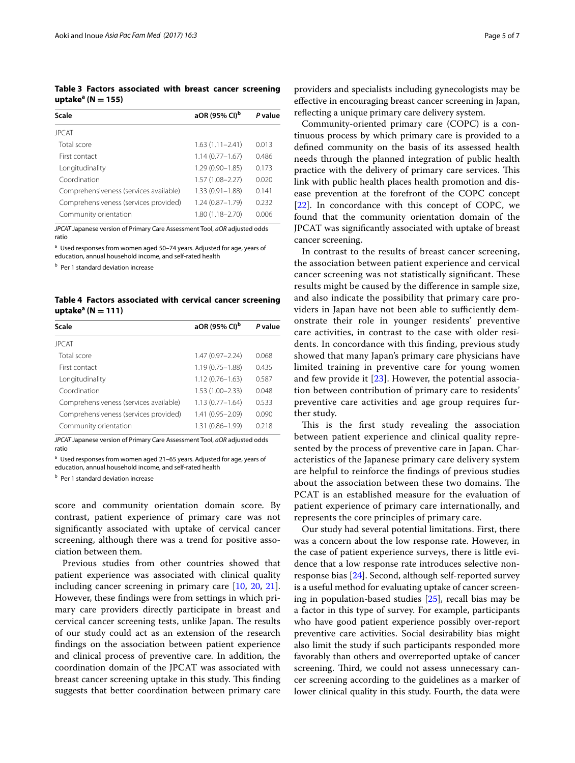<span id="page-4-0"></span>**Table 3 Factors associated with breast cancer screening uptakea (N = 155)**

| Scale                                  | aOR (95% CI) <sup>b</sup> | P value |
|----------------------------------------|---------------------------|---------|
| <b>JPCAT</b>                           |                           |         |
| Total score                            | $1.63(1.11 - 2.41)$       | 0.013   |
| First contact                          | $1.14(0.77 - 1.67)$       | 0486    |
| Longitudinality                        | $1.29(0.90 - 1.85)$       | 0.173   |
| Coordination                           | $1.57(1.08 - 2.27)$       | 0.020   |
| Comprehensiveness (services available) | $1.33(0.91 - 1.88)$       | 0.141   |
| Comprehensiveness (services provided)  | $1.24(0.87 - 1.79)$       | 0.232   |
| Community orientation                  | $1.80(1.18 - 2.70)$       | 0.006   |
|                                        |                           |         |

*JPCAT* Japanese version of Primary Care Assessment Tool, *aOR* adjusted odds ratio

<sup>a</sup> Used responses from women aged 50-74 years. Adjusted for age, years of education, annual household income, and self-rated health

**b** Per 1 standard deviation increase

<span id="page-4-1"></span>**Table 4 Factors associated with cervical cancer screening uptakea (N = 111)**

| Scale                                  | aOR (95% CI) <sup>b</sup> | P value |
|----------------------------------------|---------------------------|---------|
| <b>JPCAT</b>                           |                           |         |
| Total score                            | $1.47(0.97 - 2.24)$       | 0.068   |
| First contact                          | $1.19(0.75 - 1.88)$       | 0.435   |
| Longitudinality                        | $1.12(0.76 - 1.63)$       | 0.587   |
| Coordination                           | $1.53(1.00 - 2.33)$       | 0.048   |
| Comprehensiveness (services available) | $1.13(0.77 - 1.64)$       | 0533    |
| Comprehensiveness (services provided)  | 1.41 (0.95-2.09)          | 0.090   |
| Community orientation                  | 1.31 (0.86-1.99)          | 0.218   |

*JPCAT* Japanese version of Primary Care Assessment Tool, *aOR* adjusted odds ratio

<sup>a</sup> Used responses from women aged 21-65 years. Adjusted for age, years of education, annual household income, and self-rated health

**b** Per 1 standard deviation increase

score and community orientation domain score. By contrast, patient experience of primary care was not significantly associated with uptake of cervical cancer screening, although there was a trend for positive association between them.

Previous studies from other countries showed that patient experience was associated with clinical quality including cancer screening in primary care [\[10,](#page-5-8) [20,](#page-5-19) [21](#page-6-0)]. However, these findings were from settings in which primary care providers directly participate in breast and cervical cancer screening tests, unlike Japan. The results of our study could act as an extension of the research findings on the association between patient experience and clinical process of preventive care. In addition, the coordination domain of the JPCAT was associated with breast cancer screening uptake in this study. This finding suggests that better coordination between primary care

providers and specialists including gynecologists may be effective in encouraging breast cancer screening in Japan, reflecting a unique primary care delivery system.

Community-oriented primary care (COPC) is a continuous process by which primary care is provided to a defined community on the basis of its assessed health needs through the planned integration of public health practice with the delivery of primary care services. This link with public health places health promotion and disease prevention at the forefront of the COPC concept [[22\]](#page-6-1). In concordance with this concept of COPC, we found that the community orientation domain of the JPCAT was significantly associated with uptake of breast cancer screening.

In contrast to the results of breast cancer screening, the association between patient experience and cervical cancer screening was not statistically significant. These results might be caused by the difference in sample size, and also indicate the possibility that primary care providers in Japan have not been able to sufficiently demonstrate their role in younger residents' preventive care activities, in contrast to the case with older residents. In concordance with this finding, previous study showed that many Japan's primary care physicians have limited training in preventive care for young women and few provide it [[23\]](#page-6-2). However, the potential association between contribution of primary care to residents' preventive care activities and age group requires further study.

This is the first study revealing the association between patient experience and clinical quality represented by the process of preventive care in Japan. Characteristics of the Japanese primary care delivery system are helpful to reinforce the findings of previous studies about the association between these two domains. The PCAT is an established measure for the evaluation of patient experience of primary care internationally, and represents the core principles of primary care.

Our study had several potential limitations. First, there was a concern about the low response rate. However, in the case of patient experience surveys, there is little evidence that a low response rate introduces selective nonresponse bias [\[24](#page-6-3)]. Second, although self-reported survey is a useful method for evaluating uptake of cancer screening in population-based studies [\[25](#page-6-4)], recall bias may be a factor in this type of survey. For example, participants who have good patient experience possibly over-report preventive care activities. Social desirability bias might also limit the study if such participants responded more favorably than others and overreported uptake of cancer screening. Third, we could not assess unnecessary cancer screening according to the guidelines as a marker of lower clinical quality in this study. Fourth, the data were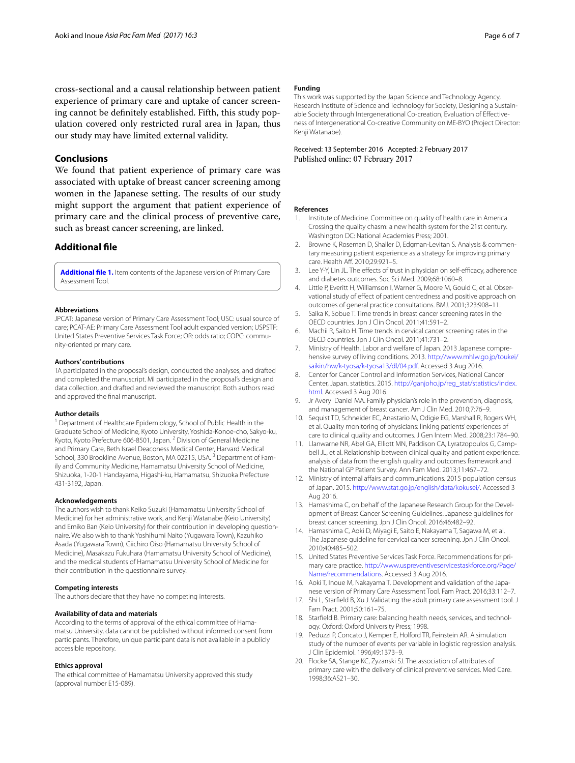cross-sectional and a causal relationship between patient experience of primary care and uptake of cancer screening cannot be definitely established. Fifth, this study population covered only restricted rural area in Japan, thus our study may have limited external validity.

# **Conclusions**

We found that patient experience of primary care was associated with uptake of breast cancer screening among women in the Japanese setting. The results of our study might support the argument that patient experience of primary care and the clinical process of preventive care, such as breast cancer screening, are linked.

# **Additional file**

<span id="page-5-16"></span>**[Additional file 1.](http://dx.doi.org/10.1186/s12930-017-0033-7)** Item contents of the Japanese version of Primary Care Assessment Tool.

# **Abbreviations**

JPCAT: Japanese version of Primary Care Assessment Tool; USC: usual source of care; PCAT-AE: Primary Care Assessment Tool adult expanded version; USPSTF: United States Preventive Services Task Force; OR: odds ratio; COPC: community-oriented primary care.

#### **Authors' contributions**

TA participated in the proposal's design, conducted the analyses, and drafted and completed the manuscript. MI participated in the proposal's design and data collection, and drafted and reviewed the manuscript. Both authors read and approved the final manuscript.

# **Author details**

<sup>1</sup> Department of Healthcare Epidemiology, School of Public Health in the Graduate School of Medicine, Kyoto University, Yoshida-Konoe-cho, Sakyo-ku, Kyoto, Kyoto Prefecture 606-8501, Japan. 2 Division of General Medicine and Primary Care, Beth Israel Deaconess Medical Center, Harvard Medical School, 330 Brookline Avenue, Boston, MA 02215, USA.<sup>3</sup> Department of Family and Community Medicine, Hamamatsu University School of Medicine, Shizuoka, 1-20-1 Handayama, Higashi-ku, Hamamatsu, Shizuoka Prefecture 431-3192, Japan.

#### **Acknowledgements**

The authors wish to thank Keiko Suzuki (Hamamatsu University School of Medicine) for her administrative work, and Kenji Watanabe (Keio University) and Emiko Ban (Keio University) for their contribution in developing questionnaire. We also wish to thank Yoshihumi Naito (Yugawara Town), Kazuhiko Asada (Yugawara Town), Giichiro Oiso (Hamamatsu University School of Medicine), Masakazu Fukuhara (Hamamatsu University School of Medicine), and the medical students of Hamamatsu University School of Medicine for their contribution in the questionnaire survey.

# **Competing interests**

The authors declare that they have no competing interests.

# **Availability of data and materials**

According to the terms of approval of the ethical committee of Hamamatsu University, data cannot be published without informed consent from participants. Therefore, unique participant data is not available in a publicly accessible repository.

# **Ethics approval**

The ethical committee of Hamamatsu University approved this study (approval number E15-089).

# **Funding**

This work was supported by the Japan Science and Technology Agency, Research Institute of Science and Technology for Society, Designing a Sustainable Society through Intergenerational Co-creation, Evaluation of Effectiveness of Intergenerational Co-creative Community on ME-BYO (Project Director: Kenii Watanabe).

Received: 13 September 2016 Accepted: 2 February 2017 Published online: 07 February 2017

### **References**

- <span id="page-5-0"></span>1. Institute of Medicine. Committee on quality of health care in America. Crossing the quality chasm: a new health system for the 21st century. Washington DC: National Academies Press; 2001.
- <span id="page-5-1"></span>2. Browne K, Roseman D, Shaller D, Edgman-Levitan S. Analysis & commentary measuring patient experience as a strategy for improving primary care. Health Aff. 2010;29:921–5.
- <span id="page-5-2"></span>3. Lee Y-Y, Lin JL. The effects of trust in physician on self-efficacy, adherence and diabetes outcomes. Soc Sci Med. 2009;68:1060–8.
- <span id="page-5-3"></span>4. Little P, Everitt H, Williamson I, Warner G, Moore M, Gould C, et al. Observational study of effect of patient centredness and positive approach on outcomes of general practice consultations. BMJ. 2001;323:908–11.
- <span id="page-5-4"></span>5. Saika K, Sobue T. Time trends in breast cancer screening rates in the OECD countries. Jpn J Clin Oncol. 2011;41:591–2.
- 6. Machii R, Saito H. Time trends in cervical cancer screening rates in the OECD countries. Jpn J Clin Oncol. 2011;41:731–2.
- <span id="page-5-5"></span>7. Ministry of Health, Labor and welfare of Japan. 2013 Japanese comprehensive survey of living conditions. 2013. [http://www.mhlw.go.jp/toukei/](http://www.mhlw.go.jp/toukei/saikin/hw/k-tyosa/k-tyosa13/dl/04.pdf) [saikin/hw/k-tyosa/k-tyosa13/dl/04.pdf.](http://www.mhlw.go.jp/toukei/saikin/hw/k-tyosa/k-tyosa13/dl/04.pdf) Accessed 3 Aug 2016.
- <span id="page-5-6"></span>8. Center for Cancer Control and Information Services, National Cancer Center, Japan. statistics. 2015. [http://ganjoho.jp/reg\\_stat/statistics/index.](http://ganjoho.jp/reg_stat/statistics/index.html) [html.](http://ganjoho.jp/reg_stat/statistics/index.html) Accessed 3 Aug 2016.
- <span id="page-5-7"></span>9. Jr Avery Daniel MA. Family physician's role in the prevention, diagnosis, and management of breast cancer. Am J Clin Med. 2010;7:76–9.
- <span id="page-5-8"></span>10. Sequist TD, Schneider EC, Anastario M, Odigie EG, Marshall R, Rogers WH, et al. Quality monitoring of physicians: linking patients' experiences of care to clinical quality and outcomes. J Gen Intern Med. 2008;23:1784–90.
- <span id="page-5-9"></span>11. Llanwarne NR, Abel GA, Elliott MN, Paddison CA, Lyratzopoulos G, Campbell JL, et al. Relationship between clinical quality and patient experience: analysis of data from the english quality and outcomes framework and the National GP Patient Survey. Ann Fam Med. 2013;11:467–72.
- <span id="page-5-10"></span>12. Ministry of internal affairs and communications. 2015 population census of Japan. 2015.<http://www.stat.go.jp/english/data/kokusei/>. Accessed 3 Aug 2016.
- <span id="page-5-11"></span>13. Hamashima C, on behalf of the Japanese Research Group for the Development of Breast Cancer Screening Guidelines. Japanese guidelines for breast cancer screening. Jpn J Clin Oncol. 2016;46:482–92.
- <span id="page-5-12"></span>14. Hamashima C, Aoki D, Miyagi E, Saito E, Nakayama T, Sagawa M, et al. The Japanese guideline for cervical cancer screening. Jpn J Clin Oncol. 2010;40:485–502.
- <span id="page-5-13"></span>15. United States Preventive Services Task Force. Recommendations for primary care practice. [http://www.uspreventiveservicestaskforce.org/Page/](http://www.uspreventiveservicestaskforce.org/Page/Name/recommendations) [Name/recommendations](http://www.uspreventiveservicestaskforce.org/Page/Name/recommendations). Accessed 3 Aug 2016.
- <span id="page-5-14"></span>16. Aoki T, Inoue M, Nakayama T. Development and validation of the Japanese version of Primary Care Assessment Tool. Fam Pract. 2016;33:112–7.
- <span id="page-5-15"></span>17. Shi L, Starfield B, Xu J. Validating the adult primary care assessment tool. J Fam Pract. 2001;50:161–75.
- <span id="page-5-17"></span>18. Starfield B. Primary care: balancing health needs, services, and technology. Oxford: Oxford University Press; 1998.
- <span id="page-5-18"></span>19. Peduzzi P, Concato J, Kemper E, Holford TR, Feinstein AR. A simulation study of the number of events per variable in logistic regression analysis. J Clin Epidemiol. 1996;49:1373–9.
- <span id="page-5-19"></span>20. Flocke SA, Stange KC, Zyzanski SJ. The association of attributes of primary care with the delivery of clinical preventive services. Med Care. 1998;36:AS21–30.